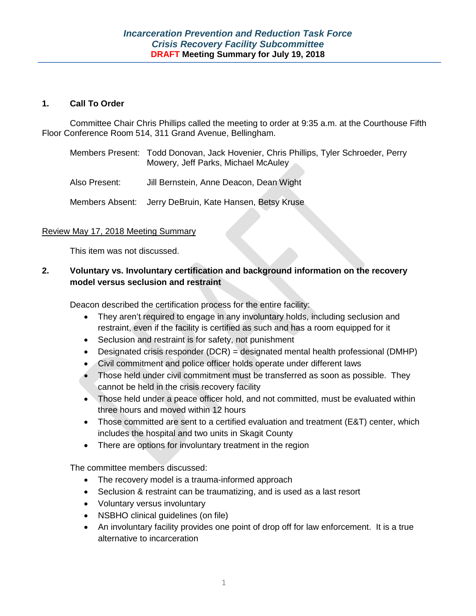### **1. Call To Order**

Committee Chair Chris Phillips called the meeting to order at 9:35 a.m. at the Courthouse Fifth Floor Conference Room 514, 311 Grand Avenue, Bellingham.

| Members Present: Todd Donovan, Jack Hovenier, Chris Phillips, Tyler Schroeder, Perry |
|--------------------------------------------------------------------------------------|
| Mowery, Jeff Parks, Michael McAuley                                                  |

Also Present: Jill Bernstein, Anne Deacon, Dean Wight

Members Absent: Jerry DeBruin, Kate Hansen, Betsy Kruse

### Review May 17, 2018 Meeting Summary

This item was not discussed.

## **2. Voluntary vs. Involuntary certification and background information on the recovery model versus seclusion and restraint**

Deacon described the certification process for the entire facility:

- They aren't required to engage in any involuntary holds, including seclusion and restraint, even if the facility is certified as such and has a room equipped for it
- Seclusion and restraint is for safety, not punishment
- Designated crisis responder (DCR) = designated mental health professional (DMHP)
- Civil commitment and police officer holds operate under different laws
- Those held under civil commitment must be transferred as soon as possible. They cannot be held in the crisis recovery facility
- Those held under a peace officer hold, and not committed, must be evaluated within three hours and moved within 12 hours
- Those committed are sent to a certified evaluation and treatment (E&T) center, which includes the hospital and two units in Skagit County
- There are options for involuntary treatment in the region

The committee members discussed:

- The recovery model is a trauma-informed approach
- Seclusion & restraint can be traumatizing, and is used as a last resort
- Voluntary versus involuntary
- NSBHO clinical guidelines (on file)
- An involuntary facility provides one point of drop off for law enforcement. It is a true alternative to incarceration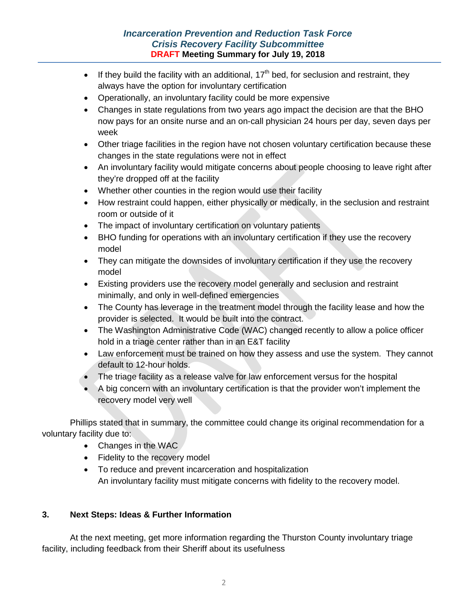- If they build the facility with an additional,  $17<sup>th</sup>$  bed, for seclusion and restraint, they always have the option for involuntary certification
- Operationally, an involuntary facility could be more expensive
- Changes in state regulations from two years ago impact the decision are that the BHO now pays for an onsite nurse and an on-call physician 24 hours per day, seven days per week
- Other triage facilities in the region have not chosen voluntary certification because these changes in the state regulations were not in effect
- An involuntary facility would mitigate concerns about people choosing to leave right after they're dropped off at the facility
- Whether other counties in the region would use their facility
- How restraint could happen, either physically or medically, in the seclusion and restraint room or outside of it
- The impact of involuntary certification on voluntary patients
- BHO funding for operations with an involuntary certification if they use the recovery model
- They can mitigate the downsides of involuntary certification if they use the recovery model
- Existing providers use the recovery model generally and seclusion and restraint minimally, and only in well-defined emergencies
- The County has leverage in the treatment model through the facility lease and how the provider is selected. It would be built into the contract.
- The Washington Administrative Code (WAC) changed recently to allow a police officer hold in a triage center rather than in an E&T facility
- Law enforcement must be trained on how they assess and use the system. They cannot default to 12-hour holds.
- The triage facility as a release valve for law enforcement versus for the hospital
- A big concern with an involuntary certification is that the provider won't implement the recovery model very well

Phillips stated that in summary, the committee could change its original recommendation for a voluntary facility due to:

- Changes in the WAC
- Fidelity to the recovery model
- To reduce and prevent incarceration and hospitalization An involuntary facility must mitigate concerns with fidelity to the recovery model.

# **3. Next Steps: Ideas & Further Information**

At the next meeting, get more information regarding the Thurston County involuntary triage facility, including feedback from their Sheriff about its usefulness